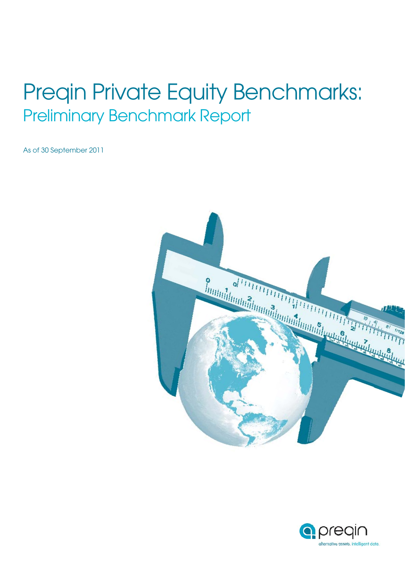# Preqin Private Equity Benchmarks: Preliminary Benchmark Report

As of 30 September 2011



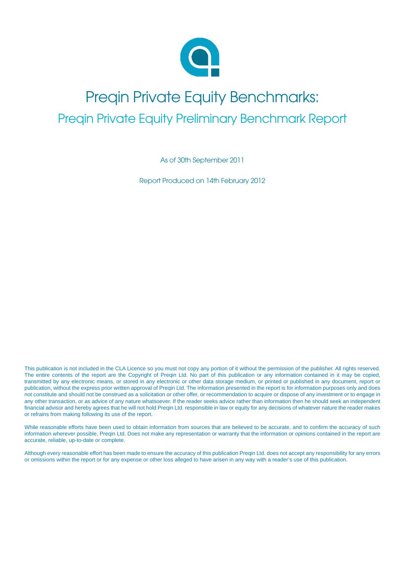

### Preqin Private Equity Benchmarks: Preqin Private Equity Preliminary Benchmark Report

As of 30th September 2011

Report Produced on 14th February 2012

This publication is not included in the CLA Licence so you must not copy any portion of it without the permission of the publisher. All rights reserved. The entire contents of the report are the Copyright of Preqin Ltd. No part of this publication or any information contained in it may be copied, transmitted by any electronic means, or stored in any electronic or other data storage medium, or printed or published in any document, report or publication, without the express prior written approval of Preqin Ltd. The information presented in the report is for information purposes only and does not constitute and should not be construed as a solicitation or other offer, or recommendation to acquire or dispose of any investment or to engage in any other transaction, or as advice of any nature whatsoever. If the reader seeks advice rather than information then he should seek an independent financial advisor and hereby agrees that he will not hold Preqin Ltd. responsible in law or equity for any decisions of whatever nature the reader makes or refrains from making following its use of the report.

While reasonable efforts have been used to obtain information from sources that are believed to be accurate, and to confirm the accuracy of such information wherever possible, Preqin Ltd. Does not make any representation or warranty that the information or opinions contained in the report are accurate, reliable, up-to-date or complete.

Although every reasonable effort has been made to ensure the accuracy of this publication Preqin Ltd. does not accept any responsibility for any errors or omissions within the report or for any expense or other loss alleged to have arisen in any way with a reader's use of this publication.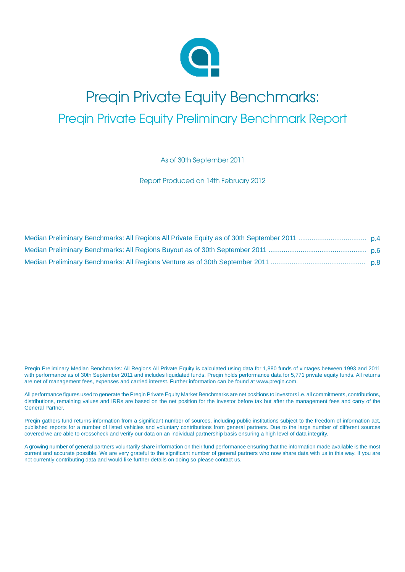

### Preqin Private Equity Benchmarks: Preqin Private Equity Preliminary Benchmark Report

As of 30th September 2011

Report Produced on 14th February 2012

Preqin Preliminary Median Benchmarks: All Regions All Private Equity is calculated using data for 1,880 funds of vintages between 1993 and 2011 with performance as of 30th September 2011 and includes liquidated funds. Preqin holds performance data for 5,771 private equity funds. All returns are net of management fees, expenses and carried interest. Further information can be found at www.preqin.com.

All performance figures used to generate the Preqin Private Equity Market Benchmarks are net positions to investors i.e. all commitments, contributions, distributions, remaining values and IRRs are based on the net position for the investor before tax but after the management fees and carry of the General Partner.

Preqin gathers fund returns information from a significant number of sources, including public institutions subject to the freedom of information act, published reports for a number of listed vehicles and voluntary contributions from general partners. Due to the large number of different sources covered we are able to crosscheck and verify our data on an individual partnership basis ensuring a high level of data integrity.

A growing number of general partners voluntarily share information on their fund performance ensuring that the information made available is the most current and accurate possible. We are very grateful to the significant number of general partners who now share data with us in this way. If you are not currently contributing data and would like further details on doing so please contact us.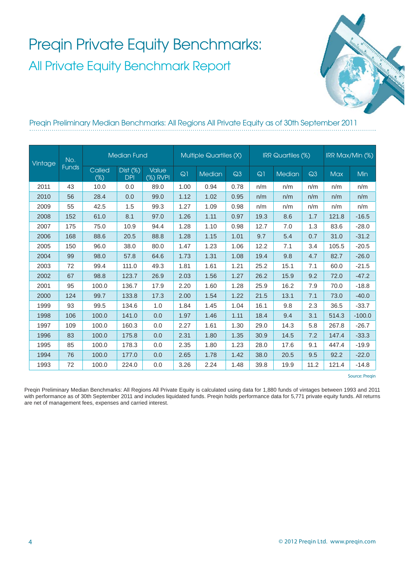

### Preqin Preliminary Median Benchmarks: All Regions All Private Equity as of 30th September 2011

| Vintage | No.<br><b>Funds</b> | <b>Median Fund</b> |                |                          | <b>Multiple Quartiles (X)</b> |        |      | <b>IRR Quartiles (%)</b> |        |      | IRR Max/Min (%) |          |
|---------|---------------------|--------------------|----------------|--------------------------|-------------------------------|--------|------|--------------------------|--------|------|-----------------|----------|
|         |                     | Called<br>$(\%)$   | $Dist (\%)DPI$ | <b>Value</b><br>(%) RVPI | $Q$ ]                         | Median | Q3   | Q1                       | Median | Q3   | <b>Max</b>      | Min      |
| 2011    | 43                  | 10.0               | 0.0            | 89.0                     | 1.00                          | 0.94   | 0.78 | n/m                      | n/m    | n/m  | n/m             | n/m      |
| 2010    | 56                  | 28.4               | 0.0            | 99.0                     | 1.12                          | 1.02   | 0.95 | n/m                      | n/m    | n/m  | n/m             | n/m      |
| 2009    | 55                  | 42.5               | 1.5            | 99.3                     | 1.27                          | 1.09   | 0.98 | n/m                      | n/m    | n/m  | n/m             | n/m      |
| 2008    | 152                 | 61.0               | 8.1            | 97.0                     | 1.26                          | 1.11   | 0.97 | 19.3                     | 8.6    | 1.7  | 121.8           | $-16.5$  |
| 2007    | 175                 | 75.0               | 10.9           | 94.4                     | 1.28                          | 1.10   | 0.98 | 12.7                     | 7.0    | 1.3  | 83.6            | $-28.0$  |
| 2006    | 168                 | 88.6               | 20.5           | 88.8                     | 1.28                          | 1.15   | 1.01 | 9.7                      | 5.4    | 0.7  | 31.0            | $-31.2$  |
| 2005    | 150                 | 96.0               | 38.0           | 80.0                     | 1.47                          | 1.23   | 1.06 | 12.2                     | 7.1    | 3.4  | 105.5           | $-20.5$  |
| 2004    | 99                  | 98.0               | 57.8           | 64.6                     | 1.73                          | 1.31   | 1.08 | 19.4                     | 9.8    | 4.7  | 82.7            | $-26.0$  |
| 2003    | 72                  | 99.4               | 111.0          | 49.3                     | 1.81                          | 1.61   | 1.21 | 25.2                     | 15.1   | 7.1  | 60.0            | $-21.5$  |
| 2002    | 67                  | 98.8               | 123.7          | 26.9                     | 2.03                          | 1.56   | 1.27 | 26.2                     | 15.9   | 9.2  | 72.0            | $-47.2$  |
| 2001    | 95                  | 100.0              | 136.7          | 17.9                     | 2.20                          | 1.60   | 1.28 | 25.9                     | 16.2   | 7.9  | 70.0            | $-18.8$  |
| 2000    | 124                 | 99.7               | 133.8          | 17.3                     | 2.00                          | 1.54   | 1.22 | 21.5                     | 13.1   | 7.1  | 73.0            | $-40.0$  |
| 1999    | 93                  | 99.5               | 134.6          | 1.0                      | 1.84                          | 1.45   | 1.04 | 16.1                     | 9.8    | 2.3  | 36.5            | $-33.7$  |
| 1998    | 106                 | 100.0              | 141.0          | 0.0                      | 1.97                          | 1.46   | 1.11 | 18.4                     | 9.4    | 3.1  | 514.3           | $-100.0$ |
| 1997    | 109                 | 100.0              | 160.3          | 0.0                      | 2.27                          | 1.61   | 1.30 | 29.0                     | 14.3   | 5.8  | 267.8           | $-26.7$  |
| 1996    | 83                  | 100.0              | 175.8          | 0.0                      | 2.31                          | 1.80   | 1.35 | 30.9                     | 14.5   | 7.2  | 147.4           | $-33.3$  |
| 1995    | 85                  | 100.0              | 178.3          | 0.0                      | 2.35                          | 1.80   | 1.23 | 28.0                     | 17.6   | 9.1  | 447.4           | $-19.9$  |
| 1994    | 76                  | 100.0              | 177.0          | 0.0                      | 2.65                          | 1.78   | 1.42 | 38.0                     | 20.5   | 9.5  | 92.2            | $-22.0$  |
| 1993    | 72                  | 100.0              | 224.0          | 0.0                      | 3.26                          | 2.24   | 1.48 | 39.8                     | 19.9   | 11.2 | 121.4           | $-14.8$  |

Source: Preqin

Preqin Preliminary Median Benchmarks: All Regions All Private Equity is calculated using data for 1,880 funds of vintages between 1993 and 2011 with performance as of 30th September 2011 and includes liquidated funds. Preqin holds performance data for 5,771 private equity funds. All returns are net of management fees, expenses and carried interest.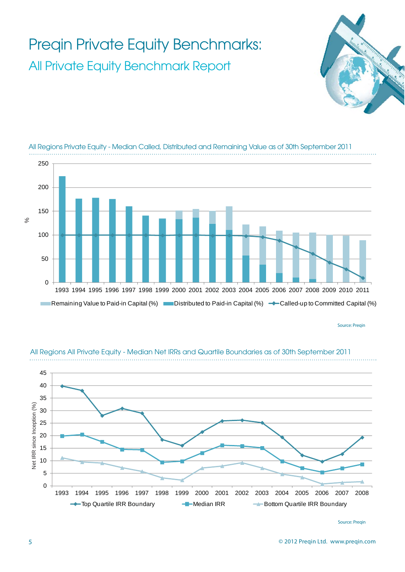

Source: Pregin



#### All Regions All Private Equity - Median Net IRRs and Quartile Boundaries as of 30th September 2011

Source: Preqin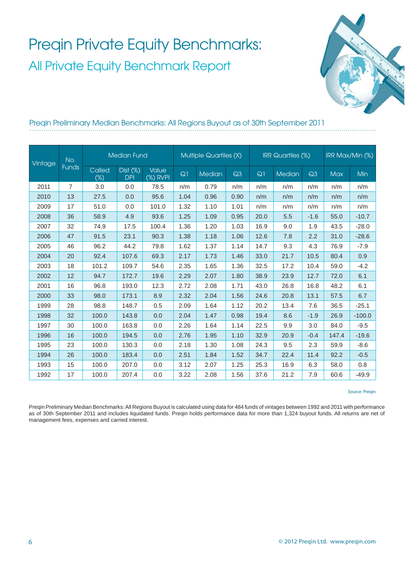

### Preqin Preliminary Median Benchmarks: All Regions Buyout as of 30th September 2011

| Vintage | No.<br><b>Funds</b> | <b>Median Fund</b> |                |                          | <b>Multiple Quartiles (X)</b> |               |      | <b>IRR</b> Quartiles (%) |               |        | IRR Max/Min (%) |          |
|---------|---------------------|--------------------|----------------|--------------------------|-------------------------------|---------------|------|--------------------------|---------------|--------|-----------------|----------|
|         |                     | Called<br>$(\%)$   | $Dist (\%)DPI$ | <b>Value</b><br>(%) RVPI | Q1                            | <b>Median</b> | Q3   | Q1                       | <b>Median</b> | Q3     | <b>Max</b>      | Min      |
| 2011    | 7                   | 3.0                | 0.0            | 78.5                     | n/m                           | 0.79          | n/m  | n/m                      | n/m           | n/m    | n/m             | n/m      |
| 2010    | 13                  | 27.5               | 0.0            | 95.6                     | 1.04                          | 0.96          | 0.90 | n/m                      | n/m           | n/m    | n/m             | n/m      |
| 2009    | 17                  | 51.0               | 0.0            | 101.0                    | 1.32                          | 1.10          | 1.01 | n/m                      | n/m           | n/m    | n/m             | n/m      |
| 2008    | 36                  | 58.9               | 4.9            | 93.6                     | 1.25                          | 1.09          | 0.95 | 20.0                     | 5.5           | $-1.6$ | 55.0            | $-10.7$  |
| 2007    | 32                  | 74.9               | 17.5           | 100.4                    | 1.36                          | 1.20          | 1.03 | 16.9                     | 9.0           | 1.9    | 43.5            | $-28.0$  |
| 2006    | 47                  | 91.5               | 23.1           | 90.3                     | 1.38                          | 1.18          | 1.06 | 12.6                     | 7.8           | 2.2    | 31.0            | $-28.6$  |
| 2005    | 46                  | 96.2               | 44.2           | 79.8                     | 1.62                          | 1.37          | 1.14 | 14.7                     | 9.3           | 4.3    | 76.9            | $-7.9$   |
| 2004    | 20                  | 92.4               | 107.6          | 69.3                     | 2.17                          | 1.73          | 1.46 | 33.0                     | 21.7          | 10.5   | 80.4            | 0.9      |
| 2003    | 18                  | 101.2              | 109.7          | 54.6                     | 2.35                          | 1.65          | 1.36 | 32.5                     | 17.2          | 10.4   | 59.0            | $-4.2$   |
| 2002    | 12                  | 94.7               | 172.7          | 19.6                     | 2.29                          | 2.07          | 1.80 | 38.9                     | 23.9          | 12.7   | 72.0            | 6.1      |
| 2001    | 16                  | 96.8               | 193.0          | 12.3                     | 2.72                          | 2.08          | 1.71 | 43.0                     | 26.8          | 16.8   | 48.2            | 6.1      |
| 2000    | 33                  | 98.0               | 173.1          | 8.9                      | 2.32                          | 2.04          | 1.56 | 24.6                     | 20.8          | 13.1   | 57.5            | 6.7      |
| 1999    | 28                  | 98.8               | 148.7          | 0.5                      | 2.09                          | 1.64          | 1.12 | 20.2                     | 13.4          | 7.6    | 36.5            | $-25.1$  |
| 1998    | 32                  | 100.0              | 143.8          | 0.0                      | 2.04                          | 1.47          | 0.98 | 19.4                     | 8.6           | $-1.9$ | 26.9            | $-100.0$ |
| 1997    | 30                  | 100.0              | 163.8          | 0.0                      | 2.26                          | 1.64          | 1.14 | 22.5                     | 9.9           | 3.0    | 84.0            | $-9.5$   |
| 1996    | 16                  | 100.0              | 194.5          | 0.0                      | 2.76                          | 1.95          | 1.10 | 32.9                     | 20.9          | $-0.4$ | 147.4           | $-19.6$  |
| 1995    | 23                  | 100.0              | 130.3          | 0.0                      | 2.18                          | 1.30          | 1.08 | 24.3                     | 9.5           | 2.3    | 59.9            | $-8.6$   |
| 1994    | 26                  | 100.0              | 183.4          | 0.0                      | 2.51                          | 1.84          | 1.52 | 34.7                     | 22.4          | 11.4   | 92.2            | $-0.5$   |
| 1993    | 15                  | 100.0              | 207.0          | 0.0                      | 3.12                          | 2.07          | 1.25 | 25.3                     | 16.9          | 6.3    | 58.0            | 0.8      |
| 1992    | 17                  | 100.0              | 207.4          | 0.0                      | 3.22                          | 2.08          | 1.56 | 37.6                     | 21.2          | 7.9    | 60.6            | $-49.9$  |

#### Source: Preqin

Preqin Preliminary Median Benchmarks: All Regions Buyout is calculated using data for 484 funds of vintages between 1992 and 2011 with performance as of 30th September 2011 and includes liquidated funds. Preqin holds performance data for more than 1,324 buyout funds. All returns are net of management fees, expenses and carried interest.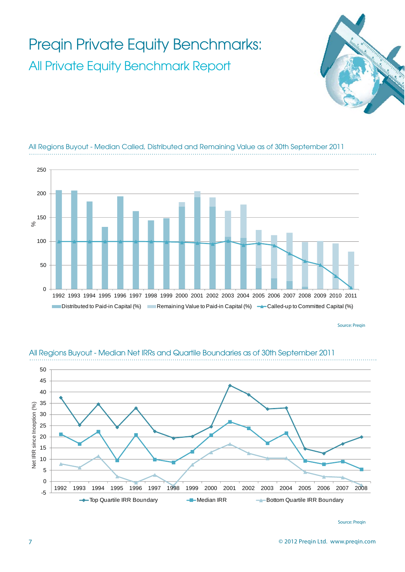



All Regions Buyout - Median Called, Distributed and Remaining Value as of 30th September 2011

Source: Pregin



#### All Regions Buyout - Median Net IRRs and Quartile Boundaries as of 30th September 2011

Source: Preqin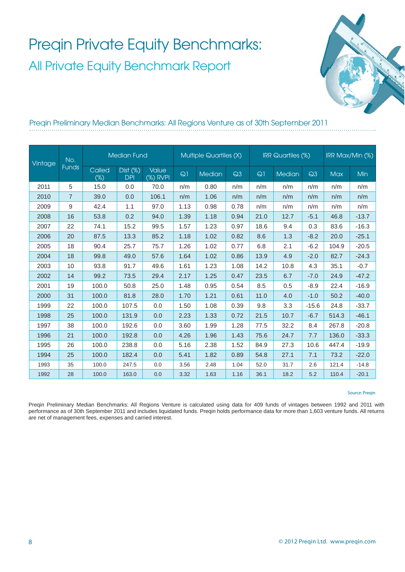

### Preqin Preliminary Median Benchmarks: All Regions Venture as of 30th September 2011

| Vintage | No.<br><b>Funds</b> | <b>Median Fund</b> |                           |                          | <b>Multiple Quartiles (X)</b> |               |      |      | <b>IRR</b> Quartiles (%) | IRR Max/Min (%) |            |         |
|---------|---------------------|--------------------|---------------------------|--------------------------|-------------------------------|---------------|------|------|--------------------------|-----------------|------------|---------|
|         |                     | Called<br>$(\%)$   | $Dist (\%)$<br><b>DPI</b> | <b>Value</b><br>(%) RVPI | Q1                            | <b>Median</b> | Q3   | Q1   | Median                   | Q3              | <b>Max</b> | Min     |
| 2011    | 5                   | 15.0               | 0.0                       | 70.0                     | n/m                           | 0.80          | n/m  | n/m  | n/m                      | n/m             | n/m        | n/m     |
| 2010    | $\overline{7}$      | 39.0               | 0.0                       | 106.1                    | n/m                           | 1.06          | n/m  | n/m  | n/m                      | n/m             | n/m        | n/m     |
| 2009    | 9                   | 42.4               | 1.1                       | 97.0                     | 1.13                          | 0.98          | 0.78 | n/m  | n/m                      | n/m             | n/m        | n/m     |
| 2008    | 16                  | 53.8               | 0.2                       | 94.0                     | 1.39                          | 1.18          | 0.94 | 21.0 | 12.7                     | $-5.1$          | 46.8       | $-13.7$ |
| 2007    | 22                  | 74.1               | 15.2                      | 99.5                     | 1.57                          | 1.23          | 0.97 | 18.6 | 9.4                      | 0.3             | 83.6       | $-16.3$ |
| 2006    | 20                  | 87.5               | 13.3                      | 85.2                     | 1.18                          | 1.02          | 0.82 | 8.6  | 1.3                      | $-8.2$          | 20.0       | $-25.1$ |
| 2005    | 18                  | 90.4               | 25.7                      | 75.7                     | 1.26                          | 1.02          | 0.77 | 6.8  | 2.1                      | $-6.2$          | 104.9      | $-20.5$ |
| 2004    | 18                  | 99.8               | 49.0                      | 57.6                     | 1.64                          | 1.02          | 0.86 | 13.9 | 4.9                      | $-2.0$          | 82.7       | $-24.3$ |
| 2003    | 10                  | 93.8               | 91.7                      | 49.6                     | 1.61                          | 1.23          | 1.08 | 14.2 | 10.8                     | 4.3             | 35.1       | $-0.7$  |
| 2002    | 14                  | 99.2               | 73.5                      | 29.4                     | 2.17                          | 1.25          | 0.47 | 23.5 | 6.7                      | $-7.0$          | 24.9       | $-47.2$ |
| 2001    | 19                  | 100.0              | 50.8                      | 25.0                     | 1.48                          | 0.95          | 0.54 | 8.5  | 0.5                      | $-8.9$          | 22.4       | $-16.9$ |
| 2000    | 31                  | 100.0              | 81.8                      | 28.0                     | 1.70                          | 1.21          | 0.61 | 11.0 | 4.0                      | $-1.0$          | 50.2       | $-40.0$ |
| 1999    | 22                  | 100.0              | 107.5                     | 0.0                      | 1.50                          | 1.08          | 0.39 | 9.8  | 3.3                      | $-15.6$         | 24.8       | $-33.7$ |
| 1998    | 25                  | 100.0              | 131.9                     | 0.0                      | 2.23                          | 1.33          | 0.72 | 21.5 | 10.7                     | $-6.7$          | 514.3      | $-46.1$ |
| 1997    | 38                  | 100.0              | 192.6                     | 0.0                      | 3.60                          | 1.99          | 1.28 | 77.5 | 32.2                     | 8.4             | 267.8      | $-20.8$ |
| 1996    | 21                  | 100.0              | 192.8                     | 0.0                      | 4.26                          | 1.96          | 1.43 | 75.6 | 24.7                     | 7.7             | 136.0      | $-33.3$ |
| 1995    | 26                  | 100.0              | 238.8                     | 0.0                      | 5.16                          | 2.38          | 1.52 | 84.9 | 27.3                     | 10.6            | 447.4      | $-19.9$ |
| 1994    | 25                  | 100.0              | 182.4                     | 0.0                      | 5.41                          | 1.82          | 0.89 | 54.8 | 27.1                     | 7.1             | 73.2       | $-22.0$ |
| 1993    | 35                  | 100.0              | 247.5                     | 0.0                      | 3.56                          | 2.48          | 1.04 | 52.0 | 31.7                     | 2.6             | 121.4      | $-14.8$ |
| 1992    | 28                  | 100.0              | 163.0                     | 0.0                      | 3.32                          | 1.63          | 1.16 | 36.1 | 18.2                     | 5.2             | 110.4      | $-20.1$ |

Source: Preqin

Preqin Preliminary Median Benchmarks: All Regions Venture is calculated using data for 409 funds of vintages between 1992 and 2011 with performance as of 30th September 2011 and includes liquidated funds. Preqin holds performance data for more than 1,603 venture funds. All returns are net of management fees, expenses and carried interest.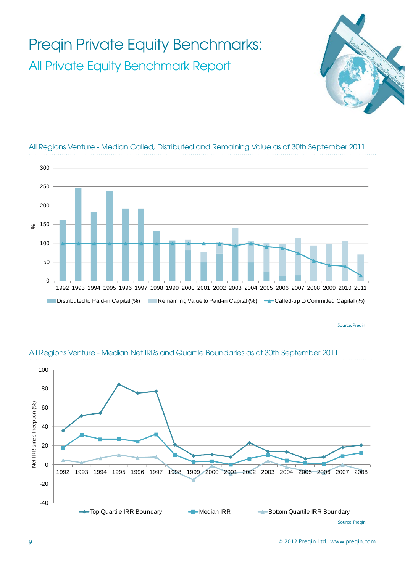



### All Regions Venture - Median Called, Distributed and Remaining Value as of 30th September 2011

Source: Pregin



#### All Regions Venture - Median Net IRRs and Quartile Boundaries as of 30th September 2011